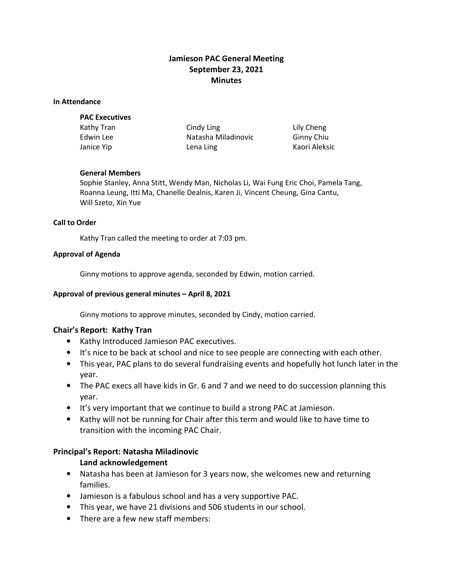# Jamieson PAC General Meeting September 23, 2021 **Minutes**

#### In Attendance

#### PAC Executives

Kathy Tran Cindy Ling Cindy Ling Lily Cheng Edwin Lee **Natasha Miladinovic** Ginny Chiu Janice Yip **Lena Ling Constant Constant Constant Constant Constant Constant Constant Constant Constant Constant Constant Constant Constant Constant Constant Constant Constant Constant Constant Constant Constant Constant** 

### General Members

Sophie Stanley, Anna Stitt, Wendy Man, Nicholas Li, Wai Fung Eric Choi, Pamela Tang, Roanna Leung, Itti Ma, Chanelle Dealnis, Karen Ji, Vincent Cheung, Gina Cantu, Will Szeto, Xin Yue

### Call to Order

Kathy Tran called the meeting to order at 7:03 pm.

### Approval of Agenda

Ginny motions to approve agenda, seconded by Edwin, motion carried.

### Approval of previous general minutes – April 8, 2021

Ginny motions to approve minutes, seconded by Cindy, motion carried.

### Chair's Report: Kathy Tran

- Kathy Introduced Jamieson PAC executives.
- It's nice to be back at school and nice to see people are connecting with each other.
- This year, PAC plans to do several fundraising events and hopefully hot lunch later in the year.
- The PAC execs all have kids in Gr. 6 and 7 and we need to do succession planning this year.
- It's very important that we continue to build a strong PAC at Jamieson.
- Kathy will not be running for Chair after this term and would like to have time to transition with the incoming PAC Chair.

### Principal's Report: Natasha Miladinovic

### Land acknowledgement

- Natasha has been at Jamieson for 3 years now, she welcomes new and returning families.
- Jamieson is a fabulous school and has a very supportive PAC.
- This year, we have 21 divisions and 506 students in our school.
- There are a few new staff members: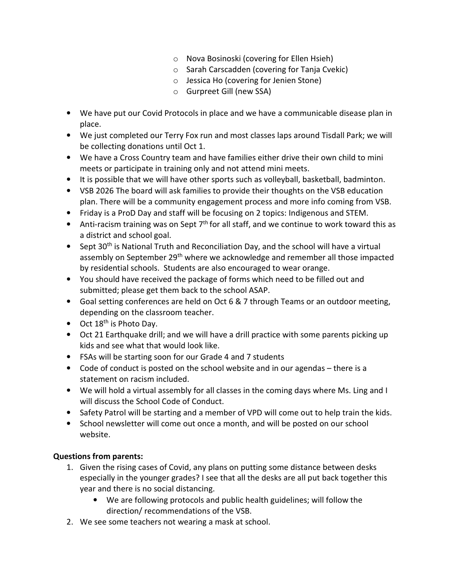- o Nova Bosinoski (covering for Ellen Hsieh)
- o Sarah Carscadden (covering for Tanja Cvekic)
- o Jessica Ho (covering for Jenien Stone)
- o Gurpreet Gill (new SSA)
- We have put our Covid Protocols in place and we have a communicable disease plan in place.
- We just completed our Terry Fox run and most classes laps around Tisdall Park; we will be collecting donations until Oct 1.
- We have a Cross Country team and have families either drive their own child to mini meets or participate in training only and not attend mini meets.
- It is possible that we will have other sports such as volleyball, basketball, badminton.
- VSB 2026 The board will ask families to provide their thoughts on the VSB education plan. There will be a community engagement process and more info coming from VSB.
- Friday is a ProD Day and staff will be focusing on 2 topics: Indigenous and STEM.
- Anti-racism training was on Sept  $7<sup>th</sup>$  for all staff, and we continue to work toward this as a district and school goal.
- Sept 30<sup>th</sup> is National Truth and Reconciliation Day, and the school will have a virtual assembly on September 29<sup>th</sup> where we acknowledge and remember all those impacted by residential schools. Students are also encouraged to wear orange.
- You should have received the package of forms which need to be filled out and submitted; please get them back to the school ASAP.
- Goal setting conferences are held on Oct 6 & 7 through Teams or an outdoor meeting, depending on the classroom teacher.
- $\bullet$  Oct 18<sup>th</sup> is Photo Day.
- Oct 21 Earthquake drill; and we will have a drill practice with some parents picking up kids and see what that would look like.
- FSAs will be starting soon for our Grade 4 and 7 students
- Code of conduct is posted on the school website and in our agendas there is a statement on racism included.
- We will hold a virtual assembly for all classes in the coming days where Ms. Ling and I will discuss the School Code of Conduct.
- Safety Patrol will be starting and a member of VPD will come out to help train the kids.
- School newsletter will come out once a month, and will be posted on our school website.

# Questions from parents:

- 1. Given the rising cases of Covid, any plans on putting some distance between desks especially in the younger grades? I see that all the desks are all put back together this year and there is no social distancing.
	- We are following protocols and public health guidelines; will follow the direction/ recommendations of the VSB.
- 2. We see some teachers not wearing a mask at school.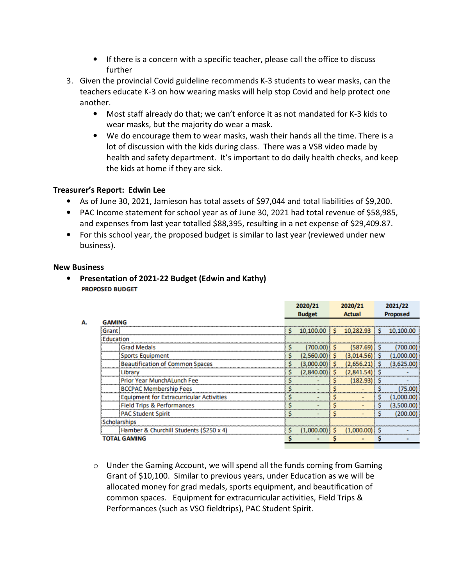- If there is a concern with a specific teacher, please call the office to discuss further
- 3. Given the provincial Covid guideline recommends K-3 students to wear masks, can the teachers educate K-3 on how wearing masks will help stop Covid and help protect one another.
	- Most staff already do that; we can't enforce it as not mandated for K-3 kids to wear masks, but the majority do wear a mask.
	- We do encourage them to wear masks, wash their hands all the time. There is a lot of discussion with the kids during class. There was a VSB video made by health and safety department. It's important to do daily health checks, and keep the kids at home if they are sick.

# Treasurer's Report: Edwin Lee

- As of June 30, 2021, Jamieson has total assets of \$97,044 and total liabilities of \$9,200.
- PAC Income statement for school year as of June 30, 2021 had total revenue of \$58,985, and expenses from last year totalled \$88,395, resulting in a net expense of \$29,409.87.
- For this school year, the proposed budget is similar to last year (reviewed under new business).

### New Business

Α.

• Presentation of 2021-22 Budget (Edwin and Kathy) **PROPOSED BUDGET** 

|                                                 | 2020/21 |               | 2020/21 |            | 2021/22 |                |
|-------------------------------------------------|---------|---------------|---------|------------|---------|----------------|
|                                                 |         | <b>Budget</b> |         | Actual     |         | Proposed       |
| <b>GAMING</b>                                   |         |               |         |            |         |                |
| Grant                                           |         | 10,100.00     |         | 10,282.93  | s       | 10,100.00      |
| <b>Education</b>                                |         |               |         |            |         |                |
| <b>Grad Medals</b>                              |         |               |         | (587.69)   | s       |                |
| <b>Sports Equipment</b>                         | s       |               | s       | (3,014.56) |         |                |
| <b>Beautification of Common Spaces</b>          |         |               | s       |            | s       | (3,625         |
| Library                                         |         | (2,840.00)    | s       | (2,841.54  |         |                |
| Prior Year MunchALunch Fee                      |         |               |         | (182.93)   |         |                |
| <b>BCCPAC Membership Fees</b>                   |         |               |         |            |         | (75.00)        |
| <b>Equipment for Extracurricular Activities</b> |         |               |         |            | s       | .00<br>(1,000) |
| <b>Field Trips &amp; Performances</b>           |         |               |         |            | s       | (3,500         |
| <b>PAC Student Spirit</b>                       |         |               |         |            | s       |                |
| Scholarships                                    |         |               |         |            |         |                |
| Hamber & Churchill Students (\$250 x 4)         |         | (1,000.00)    |         |            |         |                |
| <b>TOTAL GAMING</b>                             |         |               |         |            |         |                |

 $\circ$  Under the Gaming Account, we will spend all the funds coming from Gaming Grant of \$10,100. Similar to previous years, under Education as we will be allocated money for grad medals, sports equipment, and beautification of common spaces. Equipment for extracurricular activities, Field Trips & Performances (such as VSO fieldtrips), PAC Student Spirit.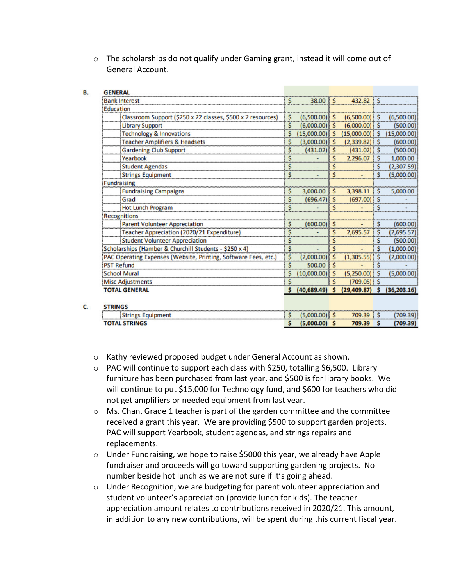$\circ$  The scholarships do not qualify under Gaming grant, instead it will come out of General Account.

В.

c.

| <b>GENERAL</b>                                                  |     |                 |          |              |    |              |
|-----------------------------------------------------------------|-----|-----------------|----------|--------------|----|--------------|
| <b>Bank Interest</b>                                            | \$  | 38.00           | \$.      | 432.82       | s  |              |
| <b>Education</b>                                                |     |                 |          |              |    |              |
| Classroom Support (\$250 x 22 classes, \$500 x 2 resources)     | \$  | (6,500.00)      | Ś        | (6,500.00)   | Ŝ  | (6,500.00)   |
| <b>Library Support</b>                                          | Ś   | (6,000.00)      | \$       | (6,000.00)   | Ś  | (500.00)     |
| <b>Technology &amp; Innovations</b>                             | s   | (15,000.00)     | Ś        | (15,000.00)  | S  | (15,000.00)  |
| <b>Teacher Amplifiers &amp; Headsets</b>                        | \$  | (3,000.00)      | Ŝ.       | (2,339.82)   | Ŝ  | (600.00)     |
| <b>Gardening Club Support</b>                                   | Ś   | (431.02)        | Ś        | (431.02)     |    | (500.00)     |
| Yearbook                                                        | \$  |                 | s        | 2,296.07     | s  | 1,000.00     |
| <b>Student Agendas</b>                                          | \$  |                 |          |              | Ś  | (2,307.59)   |
| <b>Strings Equipment</b>                                        | Ŝ   |                 | Ś        |              | Ś  | (5,000.00)   |
| <b>Fundraising</b>                                              |     |                 |          |              |    |              |
| <b>Fundraising Campaigns</b>                                    | \$  | 3,000.00        | s        | 3,398.11     | Ś  | 5,000.00     |
| Grad                                                            | \$  | (696.47)        | Ś        | (697.00)     | Ŝ  |              |
| Hot Lunch Program                                               | \$  |                 | \$       |              | \$ |              |
| Recognitions                                                    |     |                 |          |              |    |              |
| <b>Parent Volunteer Appreciation</b>                            | Ŝ   | (600.00)        | s        |              | Ś  | (600.00)     |
| Teacher Appreciation (2020/21 Expenditure)                      | \$  |                 | Ś        | 2,695.57     | Ś  | (2,695.57)   |
| <b>Student Volunteer Appreciation</b>                           | \$  |                 | Ś        |              | Ś  | (500.00)     |
| Scholarships (Hamber & Churchill Students - \$250 x 4)          | \$  |                 | Ś        |              | Ś  | (1,000.00)   |
| PAC Operating Expenses (Website, Printing, Software Fees, etc.) | \$  | (2,000.00)      | s        | (1,305.55)   | s  | (2,000.00)   |
| <b>PST Refund</b>                                               | Ś.  | 500.00          | Ś        |              | \$ |              |
| <b>School Mural</b>                                             | Ŝ   | (10,000.00)     | <b>S</b> | (5,250.00)   | Ŝ  | (5,000.00)   |
| <b>Misc Adjustments</b>                                         | Ŝ   |                 |          | (709.05)     | .S |              |
| <b>TOTAL GENERAL</b>                                            | s   | (40, 689.49)    | -Ś       | (29, 409.87) | S  | (36, 203.16) |
| <b>STRINGS</b>                                                  |     |                 |          |              |    |              |
| <b>Strings Equipment</b>                                        | \$. | $(5,000.00)$ \$ |          | 709.39       | Ŝ  | (709.39)     |
| <b>TOTAL STRINGS</b>                                            | \$  | $(5,000.00)$ \$ |          | 709.39       | Ś  | (709.39)     |

- o Kathy reviewed proposed budget under General Account as shown.
- $\circ$  PAC will continue to support each class with \$250, totalling \$6,500. Library furniture has been purchased from last year, and \$500 is for library books. We will continue to put \$15,000 for Technology fund, and \$600 for teachers who did not get amplifiers or needed equipment from last year.
- o Ms. Chan, Grade 1 teacher is part of the garden committee and the committee received a grant this year. We are providing \$500 to support garden projects. PAC will support Yearbook, student agendas, and strings repairs and replacements.
- $\circ$  Under Fundraising, we hope to raise \$5000 this year, we already have Apple fundraiser and proceeds will go toward supporting gardening projects. No number beside hot lunch as we are not sure if it's going ahead.
- o Under Recognition, we are budgeting for parent volunteer appreciation and student volunteer's appreciation (provide lunch for kids). The teacher appreciation amount relates to contributions received in 2020/21. This amount, in addition to any new contributions, will be spent during this current fiscal year.